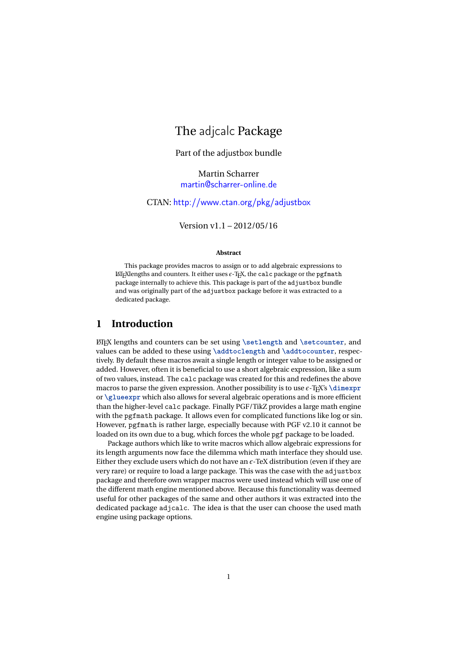# The adjcalc Package

Part of the adjustbox bundle

Martin Scharrer [martin@scharrer-online.de](mailto:martin@scharrer-online.de)

CTAN: <http://www.ctan.org/pkg/adjustbox>

Version v1.1 – 2012/05/16

#### **Abstract**

This package provides macros to assign or to add algebraic expressions to  $\Delta T$ <sub>E</sub>Xlengths and counters. It either uses  $\epsilon$ -T<sub>E</sub>X, the calc package or the pgfmath package internally to achieve this. This package is part of the adjustbox bundle and was originally part of the adjustbox package before it was extracted to a dedicated package.

## **1 Introduction**

LATEX lengths and counters can be set using **\setlength** and **\setcounter**, and values can be added to these using **\addtoclength** and **\addtocounter**, respectively. By default these macros await a single length or integer value to be assigned or added. However, often it is beneficial to use a short algebraic expression, like a sum of two values, instead. The calc package was created for this and redefines the above macros to parse the given expression. Another possibility is to use  $\epsilon$ -T<sub>E</sub>X's **\dimexpr** or **\glueexpr** which also allows for several algebraic operations and is more efficient than the higher-level calc package. Finally PGF/TikZ provides a large math engine with the pgfmath package. It allows even for complicated functions like log or sin. However, pgfmath is rather large, especially because with PGF v2.10 it cannot be loaded on its own due to a bug, which forces the whole pgf package to be loaded.

Package authors which like to write macros which allow algebraic expressions for its length arguments now face the dilemma which math interface they should use. Either they exclude users which do not have an  $\epsilon$ -TeX distribution (even if they are very rare) or require to load a large package. This was the case with the adjustbox package and therefore own wrapper macros were used instead which will use one of the different math engine mentioned above. Because this functionality was deemed useful for other packages of the same and other authors it was extracted into the dedicated package adjcalc. The idea is that the user can choose the used math engine using package options.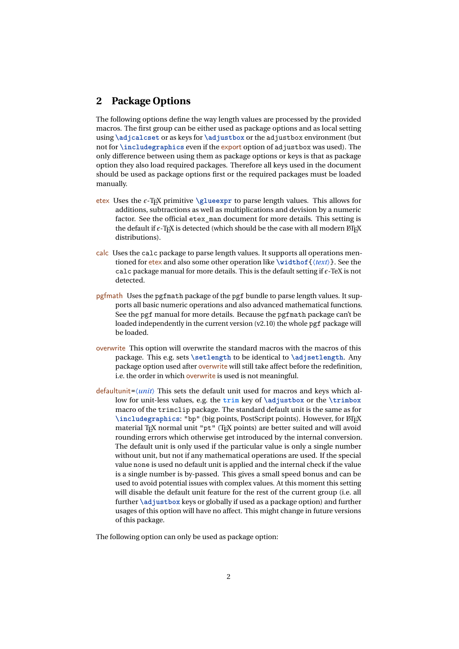### **2 Package Options**

The following options define the way length values are processed by the provided macros. The first group can be either used as package options and as local setting using **\adjcalcset** or as keys for **\adjustbox** or the adjustbox environment (but not for **\includegraphics** even if the export option of adjustbox was used). The only difference between using them as package options or keys is that as package option they also load required packages. Therefore all keys used in the document should be used as package options first or the required packages must be loaded manually.

- etex Uses the  $\epsilon$ -T<sub>E</sub>X primitive **\glueexpr** to parse length values. This allows for additions, subtractions as well as multiplications and devision by a numeric factor. See the official etex man document for more details. This setting is the default if  $\epsilon$ -T<sub>E</sub>X is detected (which should be the case with all modern LT<sub>E</sub>X distributions).
- calc Uses the calc package to parse length values. It supports all operations mentioned for etex and also some other operation like **\widthof**{〈*text*〉}. See the calc package manual for more details. This is the default setting if  $\epsilon$ -TeX is not detected.
- pgfmath Uses the pgfmath package of the pgf bundle to parse length values. It supports all basic numeric operations and also advanced mathematical functions. See the pgf manual for more details. Because the pgfmath package can't be loaded independently in the current version (v2.10) the whole pgf package will be loaded.
- overwrite This option will overwrite the standard macros with the macros of this package. This e.g. sets **\setlength** to be identical to **\adjsetlength**. Any package option used after overwrite will still take affect before the redefinition, i.e. the order in which overwrite is used is not meaningful.
- defaultunit=〈*unit*〉 This sets the default unit used for macros and keys which allow for unit-less values, e.g. the **trim** key of **\adjustbox** or the **\trimbox** macro of the trimclip package. The standard default unit is the same as for \includegraphics: "bp" (big points, PostScript points). However, for LTFX material TEX normal unit "pt" (TEX points) are better suited and will avoid rounding errors which otherwise get introduced by the internal conversion. The default unit is only used if the particular value is only a single number without unit, but not if any mathematical operations are used. If the special value none is used no default unit is applied and the internal check if the value is a single number is by-passed. This gives a small speed bonus and can be used to avoid potential issues with complex values. At this moment this setting will disable the default unit feature for the rest of the current group (i.e. all further **\adjustbox** keys or globally if used as a package option) and further usages of this option will have no affect. This might change in future versions of this package.

The following option can only be used as package option: